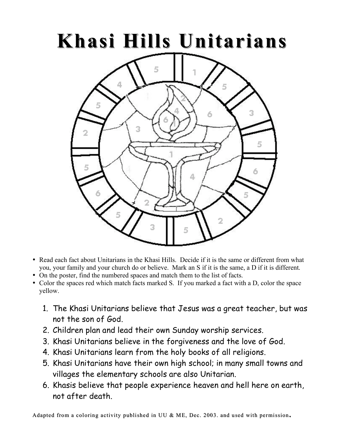## **Khasi Hills Unitarians**



- Read each fact about Unitarians in the Khasi Hills. Decide if it is the same or different from what you, your family and your church do or believe. Mark an S if it is the same, a D if it is different.
- On the poster, find the numbered spaces and match them to the list of facts.
- Color the spaces red which match facts marked S. If you marked a fact with a D, color the space yellow.
	- 1. The Khasi Unitarians believe that Jesus was a great teacher, but was not the son of God.
	- 2. Children plan and lead their own Sunday worship services.
	- 3. Khasi Unitarians believe in the forgiveness and the love of God.
	- 4. Khasi Unitarians learn from the holy books of all religions.
	- 5. Khasi Unitarians have their own high school; in many small towns and villages the elementary schools are also Unitarian.
	- 6. Khasis believe that people experience heaven and hell here on earth, not after death.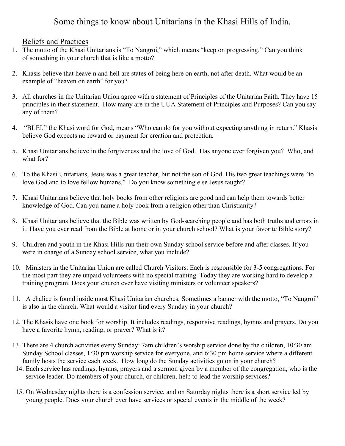## Some things to know about Unitarians in the Khasi Hills of India.

## Beliefs and Practices

- 1. The motto of the Khasi Unitarians is "To Nangroi," which means "keep on progressing." Can you think of something in your church that is like a motto?
- 2. Khasis believe that heave n and hell are states of being here on earth, not after death. What would be an example of "heaven on earth" for you?
- 3. All churches in the Unitarian Union agree with a statement of Principles of the Unitarian Faith. They have 15 principles in their statement. How many are in the UUA Statement of Principles and Purposes? Can you say any of them?
- 4. "BLEI," the Khasi word for God, means "Who can do for you without expecting anything in return." Khasis believe God expects no reward or payment for creation and protection.
- 5. Khasi Unitarians believe in the forgiveness and the love of God. Has anyone ever forgiven you? Who, and what for?
- 6. To the Khasi Unitarians, Jesus was a great teacher, but not the son of God. His two great teachings were "to love God and to love fellow humans." Do you know something else Jesus taught?
- 7. Khasi Unitarians believe that holy books from other religions are good and can help them towards better knowledge of God. Can you name a holy book from a religion other than Christianity?
- 8. Khasi Unitarians believe that the Bible was written by God-searching people and has both truths and errors in it. Have you ever read from the Bible at home or in your church school? What is your favorite Bible story?
- 9. Children and youth in the Khasi Hills run their own Sunday school service before and after classes. If you were in charge of a Sunday school service, what you include?
- 10. Ministers in the Unitarian Union are called Church Visitors. Each is responsible for 3-5 congregations. For the most part they are unpaid volunteers with no special training. Today they are working hard to develop a training program. Does your church ever have visiting ministers or volunteer speakers?
- 11. A chalice is found inside most Khasi Unitarian churches. Sometimes a banner with the motto, "To Nangroi" is also in the church. What would a visitor find every Sunday in your church?
- 12. The Khasis have one book for worship. It includes readings, responsive readings, hymns and prayers. Do you have a favorite hymn, reading, or prayer? What is it?
- 13. There are 4 church activities every Sunday: 7am children's worship service done by the children, 10:30 am Sunday School classes, 1:30 pm worship service for everyone, and 6:30 pm home service where a different family hosts the service each week. How long do the Sunday activities go on in your church?
- 14. Each service has readings, hymns, prayers and a sermon given by a member of the congregation, who is the service leader. Do members of your church, or children, help to lead the worship services?
- 15. On Wednesday nights there is a confession service, and on Saturday nights there is a short service led by young people. Does your church ever have services or special events in the middle of the week?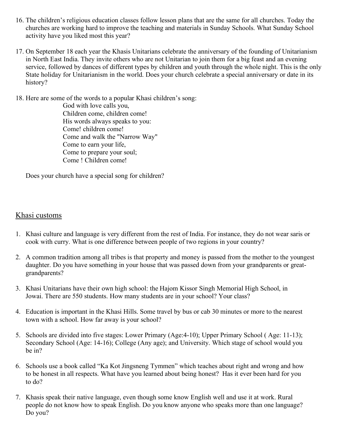- 16. The children's religious education classes follow lesson plans that are the same for all churches. Today the churches are working hard to improve the teaching and materials in Sunday Schools. What Sunday School activity have you liked most this year?
- 17. On September 18 each year the Khasis Unitarians celebrate the anniversary of the founding of Unitarianism in North East India. They invite others who are not Unitarian to join them for a big feast and an evening service, followed by dances of different types by children and youth through the whole night. This is the only State holiday for Unitarianism in the world. Does your church celebrate a special anniversary or date in its history?

18. Here are some of the words to a popular Khasi children's song:

God with love calls you, Children come, children come! His words always speaks to you: Come! children come! Come and walk the "Narrow Way" Come to earn your life, Come to prepare your soul; Come ! Children come!

Does your church have a special song for children?

## Khasi customs

- 1. Khasi culture and language is very different from the rest of India. For instance, they do not wear saris or cook with curry. What is one difference between people of two regions in your country?
- 2. A common tradition among all tribes is that property and money is passed from the mother to the youngest daughter. Do you have something in your house that was passed down from your grandparents or greatgrandparents?
- 3. Khasi Unitarians have their own high school: the Hajom Kissor Singh Memorial High School, in Jowai. There are 550 students. How many students are in your school? Your class?
- 4. Education is important in the Khasi Hills. Some travel by bus or cab 30 minutes or more to the nearest town with a school. How far away is your school?
- 5. Schools are divided into five stages: Lower Primary (Age:4-10); Upper Primary School ( Age: 11-13); Secondary School (Age: 14-16); College (Any age); and University. Which stage of school would you be in?
- 6. Schools use a book called "Ka Kot Jingsneng Tymmen" which teaches about right and wrong and how to be honest in all respects. What have you learned about being honest? Has it ever been hard for you to do?
- 7. Khasis speak their native language, even though some know English well and use it at work. Rural people do not know how to speak English. Do you know anyone who speaks more than one language? Do you?